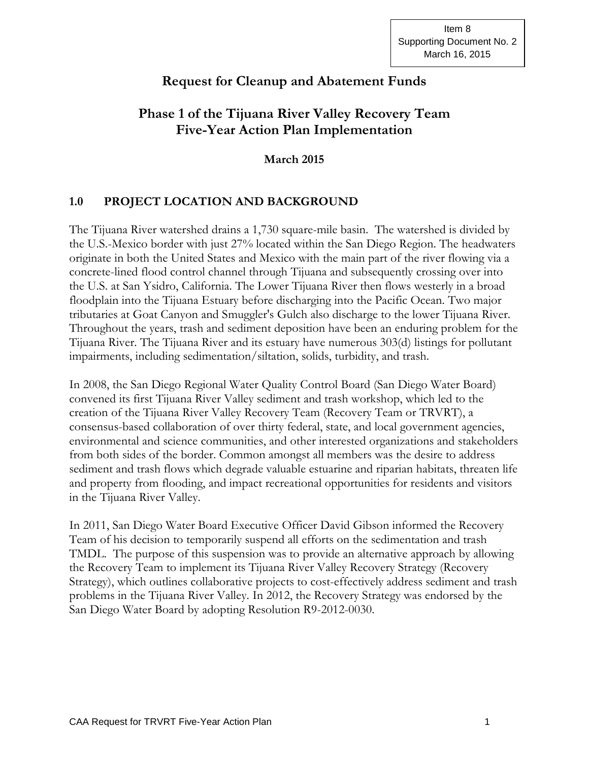# **Request for Cleanup and Abatement Funds**

# **Phase 1 of the Tijuana River Valley Recovery Team Five-Year Action Plan Implementation**

**March 2015**

## **1.0 PROJECT LOCATION AND BACKGROUND**

The Tijuana River watershed drains a 1,730 square-mile basin. The watershed is divided by the U.S.-Mexico border with just 27% located within the San Diego Region. The headwaters originate in both the United States and Mexico with the main part of the river flowing via a concrete-lined flood control channel through Tijuana and subsequently crossing over into the U.S. at San Ysidro, California. The Lower Tijuana River then flows westerly in a broad floodplain into the Tijuana Estuary before discharging into the Pacific Ocean. Two major tributaries at Goat Canyon and Smuggler's Gulch also discharge to the lower Tijuana River. Throughout the years, trash and sediment deposition have been an enduring problem for the Tijuana River. The Tijuana River and its estuary have numerous 303(d) listings for pollutant impairments, including sedimentation/siltation, solids, turbidity, and trash.

In 2008, the San Diego Regional Water Quality Control Board (San Diego Water Board) convened its first Tijuana River Valley sediment and trash workshop, which led to the creation of the Tijuana River Valley Recovery Team (Recovery Team or TRVRT), a consensus-based collaboration of over thirty federal, state, and local government agencies, environmental and science communities, and other interested organizations and stakeholders from both sides of the border. Common amongst all members was the desire to address sediment and trash flows which degrade valuable estuarine and riparian habitats, threaten life and property from flooding, and impact recreational opportunities for residents and visitors in the Tijuana River Valley.

In 2011, San Diego Water Board Executive Officer David Gibson informed the Recovery Team of his decision to temporarily suspend all efforts on the sedimentation and trash TMDL. The purpose of this suspension was to provide an alternative approach by allowing the Recovery Team to implement its Tijuana River Valley Recovery Strategy (Recovery Strategy), which outlines collaborative projects to cost-effectively address sediment and trash problems in the Tijuana River Valley. In 2012, the Recovery Strategy was endorsed by the San Diego Water Board by adopting Resolution R9-2012-0030.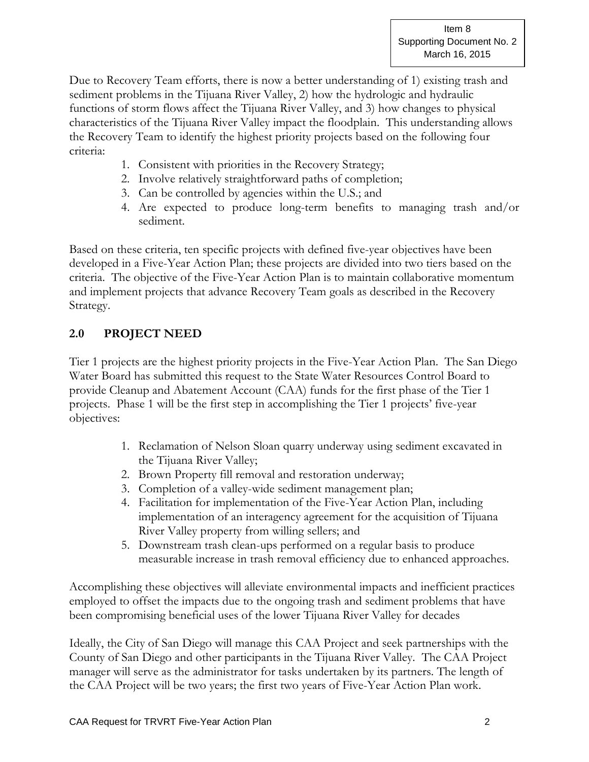Due to Recovery Team efforts, there is now a better understanding of 1) existing trash and sediment problems in the Tijuana River Valley, 2) how the hydrologic and hydraulic functions of storm flows affect the Tijuana River Valley, and 3) how changes to physical characteristics of the Tijuana River Valley impact the floodplain. This understanding allows the Recovery Team to identify the highest priority projects based on the following four criteria:

- 1. Consistent with priorities in the Recovery Strategy;
- 2. Involve relatively straightforward paths of completion;
- 3. Can be controlled by agencies within the U.S.; and
- 4. Are expected to produce long-term benefits to managing trash and/or sediment.

Based on these criteria, ten specific projects with defined five-year objectives have been developed in a Five-Year Action Plan; these projects are divided into two tiers based on the criteria. The objective of the Five-Year Action Plan is to maintain collaborative momentum and implement projects that advance Recovery Team goals as described in the Recovery Strategy.

## **2.0 PROJECT NEED**

Tier 1 projects are the highest priority projects in the Five-Year Action Plan. The San Diego Water Board has submitted this request to the State Water Resources Control Board to provide Cleanup and Abatement Account (CAA) funds for the first phase of the Tier 1 projects. Phase 1 will be the first step in accomplishing the Tier 1 projects' five-year objectives:

- 1. Reclamation of Nelson Sloan quarry underway using sediment excavated in the Tijuana River Valley;
- 2. Brown Property fill removal and restoration underway;
- 3. Completion of a valley-wide sediment management plan;
- 4. Facilitation for implementation of the Five-Year Action Plan, including implementation of an interagency agreement for the acquisition of Tijuana River Valley property from willing sellers; and
- 5. Downstream trash clean-ups performed on a regular basis to produce measurable increase in trash removal efficiency due to enhanced approaches.

Accomplishing these objectives will alleviate environmental impacts and inefficient practices employed to offset the impacts due to the ongoing trash and sediment problems that have been compromising beneficial uses of the lower Tijuana River Valley for decades

Ideally, the City of San Diego will manage this CAA Project and seek partnerships with the County of San Diego and other participants in the Tijuana River Valley. The CAA Project manager will serve as the administrator for tasks undertaken by its partners. The length of the CAA Project will be two years; the first two years of Five-Year Action Plan work.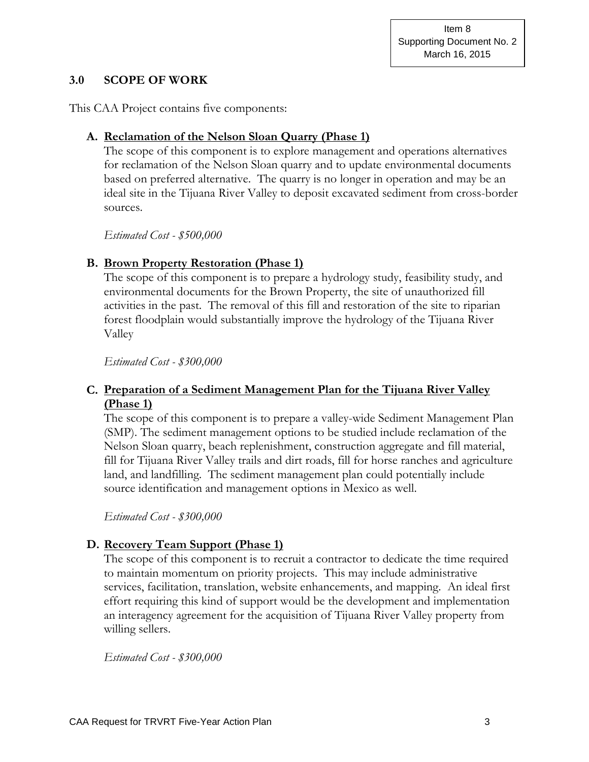#### **3.0 SCOPE OF WORK**

This CAA Project contains five components:

#### **A. Reclamation of the Nelson Sloan Quarry (Phase 1)**

The scope of this component is to explore management and operations alternatives for reclamation of the Nelson Sloan quarry and to update environmental documents based on preferred alternative. The quarry is no longer in operation and may be an ideal site in the Tijuana River Valley to deposit excavated sediment from cross-border sources.

*Estimated Cost - \$500,000*

### **B. Brown Property Restoration (Phase 1)**

The scope of this component is to prepare a hydrology study, feasibility study, and environmental documents for the Brown Property, the site of unauthorized fill activities in the past. The removal of this fill and restoration of the site to riparian forest floodplain would substantially improve the hydrology of the Tijuana River Valley

*Estimated Cost - \$300,000*

### **C. Preparation of a Sediment Management Plan for the Tijuana River Valley (Phase 1)**

The scope of this component is to prepare a valley-wide Sediment Management Plan (SMP). The sediment management options to be studied include reclamation of the Nelson Sloan quarry, beach replenishment, construction aggregate and fill material, fill for Tijuana River Valley trails and dirt roads, fill for horse ranches and agriculture land, and landfilling. The sediment management plan could potentially include source identification and management options in Mexico as well.

*Estimated Cost - \$300,000*

## **D. Recovery Team Support (Phase 1)**

The scope of this component is to recruit a contractor to dedicate the time required to maintain momentum on priority projects. This may include administrative services, facilitation, translation, website enhancements, and mapping. An ideal first effort requiring this kind of support would be the development and implementation an interagency agreement for the acquisition of Tijuana River Valley property from willing sellers.

*Estimated Cost - \$300,000*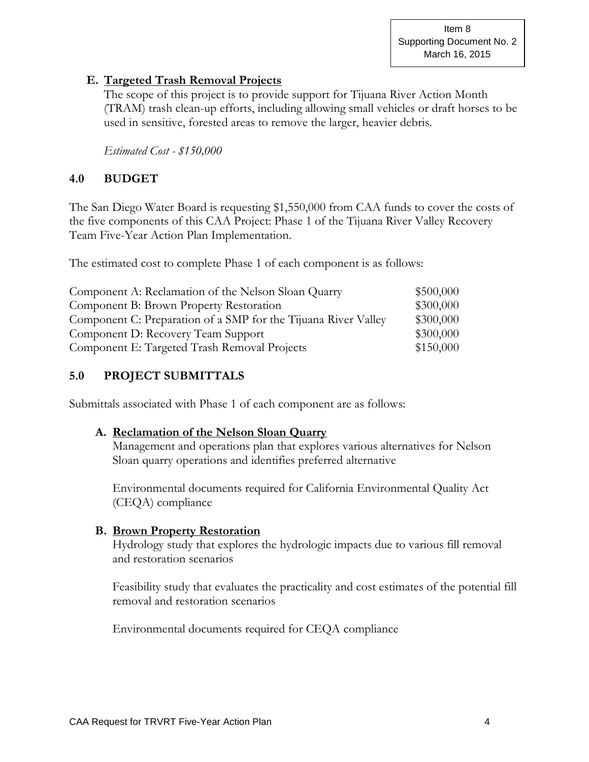Item 8 Supporting Document No. 2 March 16, 2015

#### **E. Targeted Trash Removal Projects**

The scope of this project is to provide support for Tijuana River Action Month (TRAM) trash clean-up efforts, including allowing small vehicles or draft horses to be used in sensitive, forested areas to remove the larger, heavier debris.

*Estimated Cost - \$150,000*

#### **4.0 BUDGET**

The San Diego Water Board is requesting \$1,550,000 from CAA funds to cover the costs of the five components of this CAA Project: Phase 1 of the Tijuana River Valley Recovery Team Five-Year Action Plan Implementation.

The estimated cost to complete Phase 1 of each component is as follows:

| Component A: Reclamation of the Nelson Sloan Quarry            | \$500,000 |
|----------------------------------------------------------------|-----------|
| Component B: Brown Property Restoration                        | \$300,000 |
| Component C: Preparation of a SMP for the Tijuana River Valley | \$300,000 |
| Component D: Recovery Team Support                             | \$300,000 |
| Component E: Targeted Trash Removal Projects                   | \$150,000 |

#### **5.0 PROJECT SUBMITTALS**

Submittals associated with Phase 1 of each component are as follows:

#### **A. Reclamation of the Nelson Sloan Quarry**

Management and operations plan that explores various alternatives for Nelson Sloan quarry operations and identifies preferred alternative

Environmental documents required for California Environmental Quality Act (CEQA) compliance

#### **B. Brown Property Restoration**

Hydrology study that explores the hydrologic impacts due to various fill removal and restoration scenarios

Feasibility study that evaluates the practicality and cost estimates of the potential fill removal and restoration scenarios

Environmental documents required for CEQA compliance